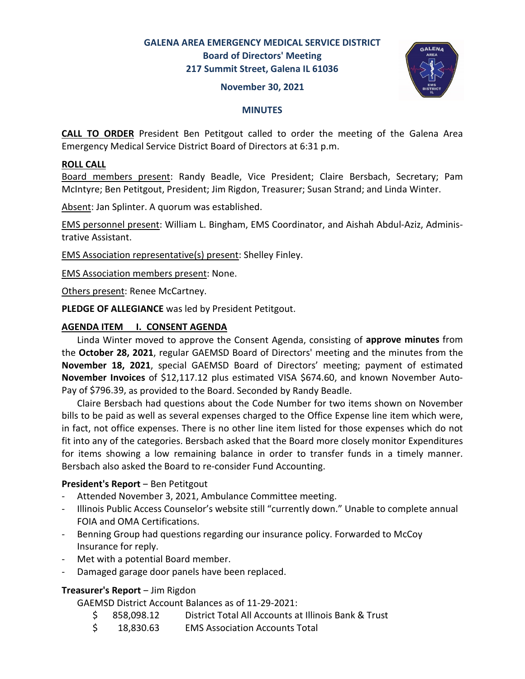# **GALENA AREA EMERGENCY MEDICAL SERVICE DISTRICT Board of Directors' Meeting 217 Summit Street, Galena IL 61036**

#### **November 30, 2021**



#### **MINUTES**

**CALL TO ORDER** President Ben Petitgout called to order the meeting of the Galena Area Emergency Medical Service District Board of Directors at 6:31 p.m.

### **ROLL CALL**

Board members present: Randy Beadle, Vice President; Claire Bersbach, Secretary; Pam McIntyre; Ben Petitgout, President; Jim Rigdon, Treasurer; Susan Strand; and Linda Winter.

Absent: Jan Splinter. A quorum was established.

EMS personnel present: William L. Bingham, EMS Coordinator, and Aishah Abdul-Aziz, Administrative Assistant.

EMS Association representative(s) present: Shelley Finley.

EMS Association members present: None.

Others present: Renee McCartney.

**PLEDGE OF ALLEGIANCE** was led by President Petitgout.

### **AGENDA ITEM I. CONSENT AGENDA**

 Linda Winter moved to approve the Consent Agenda, consisting of **approve minutes** from the **October 28, 2021**, regular GAEMSD Board of Directors' meeting and the minutes from the **November 18, 2021**, special GAEMSD Board of Directors' meeting; payment of estimated **November Invoices** of \$12,117.12 plus estimated VISA \$674.60, and known November Auto-Pay of \$796.39, as provided to the Board. Seconded by Randy Beadle.

 Claire Bersbach had questions about the Code Number for two items shown on November bills to be paid as well as several expenses charged to the Office Expense line item which were, in fact, not office expenses. There is no other line item listed for those expenses which do not fit into any of the categories. Bersbach asked that the Board more closely monitor Expenditures for items showing a low remaining balance in order to transfer funds in a timely manner. Bersbach also asked the Board to re-consider Fund Accounting.

### **President's Report – Ben Petitgout**

- Attended November 3, 2021, Ambulance Committee meeting.
- Illinois Public Access Counselor's website still "currently down." Unable to complete annual FOIA and OMA Certifications.
- Benning Group had questions regarding our insurance policy. Forwarded to McCoy Insurance for reply.
- Met with a potential Board member.
- Damaged garage door panels have been replaced.

### **Treasurer's Report** ‒ Jim Rigdon

GAEMSD District Account Balances as of 11-29-2021:

- \$ 858,098.12 District Total All Accounts at Illinois Bank & Trust
- \$ 18,830.63 EMS Association Accounts Total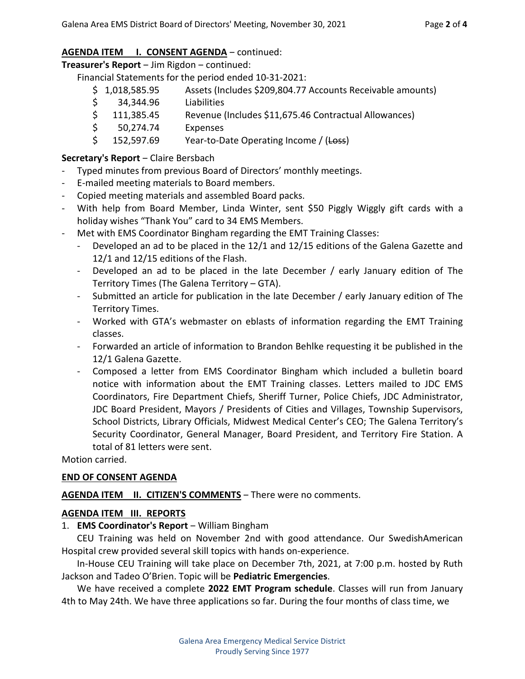# AGENDA ITEM **I. CONSENT AGENDA** - continued:

**Treasurer's Report** ‒ Jim Rigdon ‒ continued:

Financial Statements for the period ended 10-31-2021:

- \$ 1,018,585.95 Assets (Includes \$209,804.77 Accounts Receivable amounts)
- \$ 34,344.96 Liabilities
- \$ 111,385.45 Revenue (Includes \$11,675.46 Contractual Allowances)
- \$ 50,274.74 Expenses
- $\frac{152,597.69}{\text{Year-to-Date Operating Income}}$  / (Loss)

# **Secretary's Report** – Claire Bersbach

- Typed minutes from previous Board of Directors' monthly meetings.
- E-mailed meeting materials to Board members.
- Copied meeting materials and assembled Board packs.
- With help from Board Member, Linda Winter, sent \$50 Piggly Wiggly gift cards with a holiday wishes "Thank You" card to 34 EMS Members.
- Met with EMS Coordinator Bingham regarding the EMT Training Classes:
	- Developed an ad to be placed in the  $12/1$  and  $12/15$  editions of the Galena Gazette and 12/1 and 12/15 editions of the Flash.
	- Developed an ad to be placed in the late December / early January edition of The Territory Times (The Galena Territory – GTA).
	- Submitted an article for publication in the late December / early January edition of The Territory Times.
	- Worked with GTA's webmaster on eblasts of information regarding the EMT Training classes.
	- Forwarded an article of information to Brandon Behlke requesting it be published in the 12/1 Galena Gazette.
	- Composed a letter from EMS Coordinator Bingham which included a bulletin board notice with information about the EMT Training classes. Letters mailed to JDC EMS Coordinators, Fire Department Chiefs, Sheriff Turner, Police Chiefs, JDC Administrator, JDC Board President, Mayors / Presidents of Cities and Villages, Township Supervisors, School Districts, Library Officials, Midwest Medical Center's CEO; The Galena Territory's Security Coordinator, General Manager, Board President, and Territory Fire Station. A total of 81 letters were sent.

Motion carried.

### **END OF CONSENT AGENDA**

AGENDA ITEM II. CITIZEN'S COMMENTS - There were no comments.

### **AGENDA ITEM III. REPORTS**

1. **EMS Coordinator's Report** - William Bingham

CEU Training was held on November 2nd with good attendance. Our SwedishAmerican Hospital crew provided several skill topics with hands on-experience.

In-House CEU Training will take place on December 7th, 2021, at 7:00 p.m. hosted by Ruth Jackson and Tadeo O'Brien. Topic will be **Pediatric Emergencies**.

 We have received a complete **2022 EMT Program schedule**. Classes will run from January 4th to May 24th. We have three applications so far. During the four months of class time, we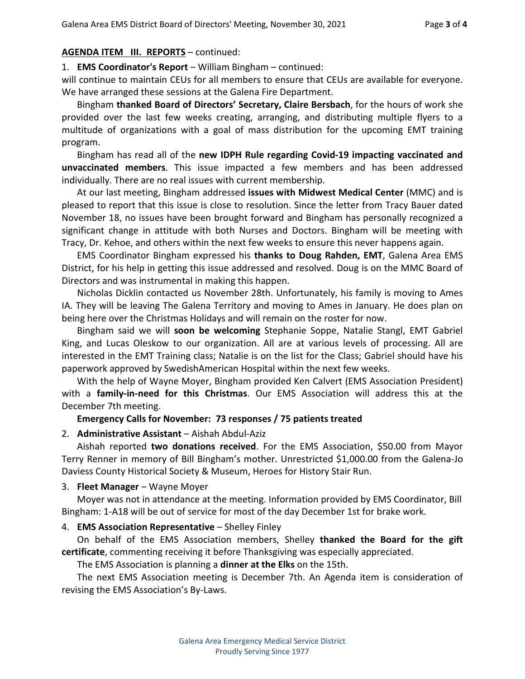### **AGENDA ITEM III. REPORTS** – continued:

1. **EMS Coordinator's Report** – William Bingham – continued:

will continue to maintain CEUs for all members to ensure that CEUs are available for everyone. We have arranged these sessions at the Galena Fire Department.

Bingham **thanked Board of Directors' Secretary, Claire Bersbach**, for the hours of work she provided over the last few weeks creating, arranging, and distributing multiple flyers to a multitude of organizations with a goal of mass distribution for the upcoming EMT training program.

Bingham has read all of the **new IDPH Rule regarding Covid-19 impacting vaccinated and unvaccinated members**. This issue impacted a few members and has been addressed individually. There are no real issues with current membership.

At our last meeting, Bingham addressed **issues with Midwest Medical Center** (MMC) and is pleased to report that this issue is close to resolution. Since the letter from Tracy Bauer dated November 18, no issues have been brought forward and Bingham has personally recognized a significant change in attitude with both Nurses and Doctors. Bingham will be meeting with Tracy, Dr. Kehoe, and others within the next few weeks to ensure this never happens again.

EMS Coordinator Bingham expressed his **thanks to Doug Rahden, EMT**, Galena Area EMS District, for his help in getting this issue addressed and resolved. Doug is on the MMC Board of Directors and was instrumental in making this happen.

Nicholas Dicklin contacted us November 28th. Unfortunately, his family is moving to Ames IA. They will be leaving The Galena Territory and moving to Ames in January. He does plan on being here over the Christmas Holidays and will remain on the roster for now.

Bingham said we will **soon be welcoming** Stephanie Soppe, Natalie Stangl, EMT Gabriel King, and Lucas Oleskow to our organization. All are at various levels of processing. All are interested in the EMT Training class; Natalie is on the list for the Class; Gabriel should have his paperwork approved by SwedishAmerican Hospital within the next few weeks.

With the help of Wayne Moyer, Bingham provided Ken Calvert (EMS Association President) with a **family-in-need for this Christmas**. Our EMS Association will address this at the December 7th meeting.

#### **Emergency Calls for November: 73 responses / 75 patients treated**

#### 2. **Administrative Assistant** ‒ Aishah Abdul-Aziz

Aishah reported **two donations received**. For the EMS Association, \$50.00 from Mayor Terry Renner in memory of Bill Bingham's mother. Unrestricted \$1,000.00 from the Galena-Jo Daviess County Historical Society & Museum, Heroes for History Stair Run.

#### 3. **Fleet Manager** – Wayne Moyer

Moyer was not in attendance at the meeting. Information provided by EMS Coordinator, Bill Bingham: 1-A18 will be out of service for most of the day December 1st for brake work.

### 4. **EMS Association Representative** – Shelley Finley

On behalf of the EMS Association members, Shelley **thanked the Board for the gift certificate**, commenting receiving it before Thanksgiving was especially appreciated.

The EMS Association is planning a **dinner at the Elks** on the 15th.

The next EMS Association meeting is December 7th. An Agenda item is consideration of revising the EMS Association's By-Laws.